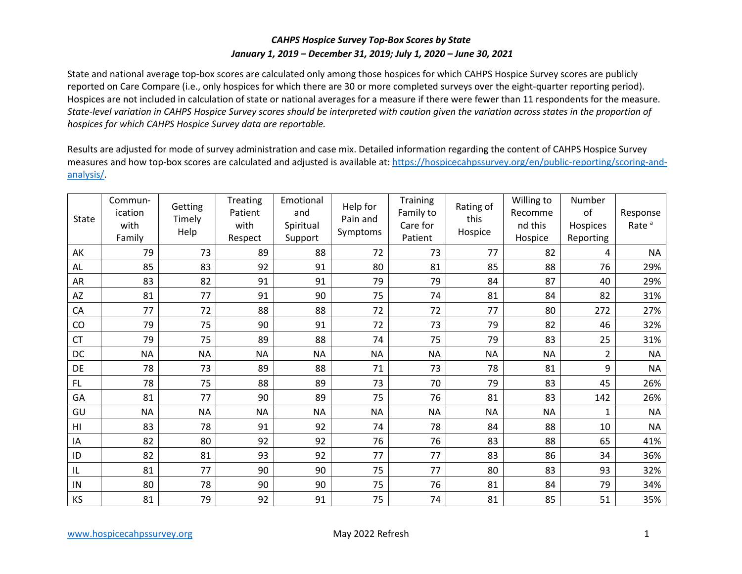## *CAHPS Hospice Survey Top-Box Scores by State January 1, 2019 – December 31, 2019; July 1, 2020 – June 30, 2021*

 State and national average top-box scores are calculated only among those hospices for which CAHPS Hospice Survey scores are publicly reported on Care Compare (i.e., only hospices for which there are 30 or more completed surveys over the eight-quarter reporting period). Hospices are not included in calculation of state or national averages for a measure if there were fewer than 11 respondents for the measure. *State-level variation in CAHPS Hospice Survey scores should be interpreted with caution given the variation across states in the proportion of hospices for which CAHPS Hospice Survey data are reportable.* 

 Results are adjusted for mode of survey administration and case mix. Detailed information regarding the content of CAHPS Hospice Survey measures and how top-box scores are calculated and adjusted is available at[: https://hospicecahpssurvey.org/en/public-reporting/scoring-and](https://hospicecahpssurvey.org/en/public-reporting/scoring-and-analysis/)[analysis/.](https://hospicecahpssurvey.org/en/public-reporting/scoring-and-analysis/)

| State          | Commun-<br>ication<br>with<br>Family | Getting<br>Timely<br>Help | Treating<br>Patient<br>with<br>Respect | Emotional<br>and<br>Spiritual<br>Support | Help for<br>Pain and<br>Symptoms | Training<br>Family to<br>Care for<br>Patient | Rating of<br>this<br>Hospice | Willing to<br>Recomme<br>nd this<br>Hospice | Number<br>of<br>Hospices<br>Reporting | Response<br>Rate <sup>a</sup> |
|----------------|--------------------------------------|---------------------------|----------------------------------------|------------------------------------------|----------------------------------|----------------------------------------------|------------------------------|---------------------------------------------|---------------------------------------|-------------------------------|
| AK             | 79                                   | 73                        | 89                                     | 88                                       | 72                               | 73                                           | 77                           | 82                                          | 4                                     | <b>NA</b>                     |
| AL             | 85                                   | 83                        | 92                                     | 91                                       | 80                               | 81                                           | 85                           | 88                                          | 76                                    | 29%                           |
| AR             | 83                                   | 82                        | 91                                     | 91                                       | 79                               | 79                                           | 84                           | 87                                          | 40                                    | 29%                           |
| AZ             | 81                                   | 77                        | 91                                     | 90                                       | 75                               | 74                                           | 81                           | 84                                          | 82                                    | 31%                           |
| CA             | 77                                   | 72                        | 88                                     | 88                                       | 72                               | 72                                           | 77                           | 80                                          | 272                                   | 27%                           |
| CO             | 79                                   | 75                        | 90                                     | 91                                       | 72                               | 73                                           | 79                           | 82                                          | 46                                    | 32%                           |
| CT             | 79                                   | 75                        | 89                                     | 88                                       | 74                               | 75                                           | 79                           | 83                                          | 25                                    | 31%                           |
| DC             | <b>NA</b>                            | <b>NA</b>                 | <b>NA</b>                              | <b>NA</b>                                | <b>NA</b>                        | <b>NA</b>                                    | <b>NA</b>                    | <b>NA</b>                                   | 2                                     | <b>NA</b>                     |
| DE             | 78                                   | 73                        | 89                                     | 88                                       | 71                               | 73                                           | 78                           | 81                                          | 9                                     | <b>NA</b>                     |
| FL             | 78                                   | 75                        | 88                                     | 89                                       | 73                               | 70                                           | 79                           | 83                                          | 45                                    | 26%                           |
| GA             | 81                                   | 77                        | 90                                     | 89                                       | 75                               | 76                                           | 81                           | 83                                          | 142                                   | 26%                           |
| GU             | <b>NA</b>                            | <b>NA</b>                 | <b>NA</b>                              | <b>NA</b>                                | <b>NA</b>                        | <b>NA</b>                                    | <b>NA</b>                    | <b>NA</b>                                   | 1                                     | <b>NA</b>                     |
| H <sub>l</sub> | 83                                   | 78                        | 91                                     | 92                                       | 74                               | 78                                           | 84                           | 88                                          | 10                                    | <b>NA</b>                     |
| IA             | 82                                   | 80                        | 92                                     | 92                                       | 76                               | 76                                           | 83                           | 88                                          | 65                                    | 41%                           |
| ID             | 82                                   | 81                        | 93                                     | 92                                       | 77                               | 77                                           | 83                           | 86                                          | 34                                    | 36%                           |
| $\sf IL$       | 81                                   | 77                        | 90                                     | 90                                       | 75                               | 77                                           | 80                           | 83                                          | 93                                    | 32%                           |
| ${\sf IN}$     | 80                                   | 78                        | 90                                     | 90                                       | 75                               | 76                                           | 81                           | 84                                          | 79                                    | 34%                           |
| KS             | 81                                   | 79                        | 92                                     | 91                                       | 75                               | 74                                           | 81                           | 85                                          | 51                                    | 35%                           |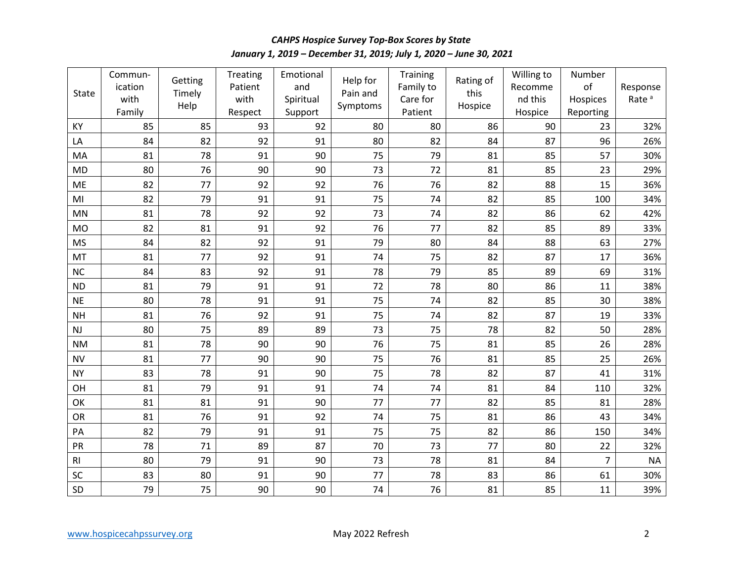*January 1, 2019 – December 31, 2019; July 1, 2020 – June 30, 2021 CAHPS Hospice Survey Top-Box Scores by State* 

| <b>State</b>   | Commun-<br>ication<br>with<br>Family | Getting<br>Timely<br>Help | Treating<br>Patient<br>with<br>Respect | Emotional<br>and<br>Spiritual<br>Support | Help for<br>Pain and<br>Symptoms | Training<br>Family to<br>Care for<br>Patient | Rating of<br>this<br>Hospice | Willing to<br>Recomme<br>nd this<br>Hospice | Number<br>of<br>Hospices<br>Reporting | Response<br>Rate <sup>a</sup> |
|----------------|--------------------------------------|---------------------------|----------------------------------------|------------------------------------------|----------------------------------|----------------------------------------------|------------------------------|---------------------------------------------|---------------------------------------|-------------------------------|
| KY             | 85                                   | 85                        | 93                                     | 92                                       | 80                               | 80                                           | 86                           | 90                                          | 23                                    | 32%                           |
| LA             | 84                                   | 82                        | 92                                     | 91                                       | 80                               | 82                                           | 84                           | 87                                          | 96                                    | 26%                           |
| MA             | 81                                   | 78                        | 91                                     | 90                                       | 75                               | 79                                           | 81                           | 85                                          | 57                                    | 30%                           |
| <b>MD</b>      | 80                                   | 76                        | 90                                     | 90                                       | 73                               | 72                                           | 81                           | 85                                          | 23                                    | 29%                           |
| ME             | 82                                   | 77                        | 92                                     | 92                                       | 76                               | 76                                           | 82                           | 88                                          | 15                                    | 36%                           |
| MI             | 82                                   | 79                        | 91                                     | 91                                       | 75                               | 74                                           | 82                           | 85                                          | 100                                   | 34%                           |
| MN             | 81                                   | 78                        | 92                                     | 92                                       | 73                               | 74                                           | 82                           | 86                                          | 62                                    | 42%                           |
| <b>MO</b>      | 82                                   | 81                        | 91                                     | 92                                       | 76                               | 77                                           | 82                           | 85                                          | 89                                    | 33%                           |
| <b>MS</b>      | 84                                   | 82                        | 92                                     | 91                                       | 79                               | 80                                           | 84                           | 88                                          | 63                                    | 27%                           |
| MT             | 81                                   | 77                        | 92                                     | 91                                       | 74                               | 75                                           | 82                           | 87                                          | 17                                    | 36%                           |
| <b>NC</b>      | 84                                   | 83                        | 92                                     | 91                                       | 78                               | 79                                           | 85                           | 89                                          | 69                                    | 31%                           |
| <b>ND</b>      | 81                                   | 79                        | 91                                     | 91                                       | 72                               | 78                                           | 80                           | 86                                          | 11                                    | 38%                           |
| <b>NE</b>      | 80                                   | 78                        | 91                                     | 91                                       | 75                               | 74                                           | 82                           | 85                                          | 30                                    | 38%                           |
| <b>NH</b>      | 81                                   | 76                        | 92                                     | 91                                       | 75                               | 74                                           | 82                           | 87                                          | 19                                    | 33%                           |
| NJ             | 80                                   | 75                        | 89                                     | 89                                       | 73                               | 75                                           | 78                           | 82                                          | 50                                    | 28%                           |
| <b>NM</b>      | 81                                   | 78                        | 90                                     | 90                                       | 76                               | 75                                           | 81                           | 85                                          | 26                                    | 28%                           |
| <b>NV</b>      | 81                                   | 77                        | 90                                     | 90                                       | 75                               | 76                                           | 81                           | 85                                          | 25                                    | 26%                           |
| <b>NY</b>      | 83                                   | 78                        | 91                                     | 90                                       | 75                               | 78                                           | 82                           | 87                                          | 41                                    | 31%                           |
| OH             | 81                                   | 79                        | 91                                     | 91                                       | 74                               | 74                                           | 81                           | 84                                          | 110                                   | 32%                           |
| OK             | 81                                   | 81                        | 91                                     | 90                                       | 77                               | 77                                           | 82                           | 85                                          | 81                                    | 28%                           |
| <b>OR</b>      | 81                                   | 76                        | 91                                     | 92                                       | 74                               | 75                                           | 81                           | 86                                          | 43                                    | 34%                           |
| PA             | 82                                   | 79                        | 91                                     | 91                                       | 75                               | 75                                           | 82                           | 86                                          | 150                                   | 34%                           |
| PR             | 78                                   | 71                        | 89                                     | 87                                       | 70                               | 73                                           | 77                           | 80                                          | 22                                    | 32%                           |
| R <sub>l</sub> | 80                                   | 79                        | 91                                     | 90                                       | 73                               | 78                                           | 81                           | 84                                          | $\overline{7}$                        | <b>NA</b>                     |
| SC             | 83                                   | 80                        | 91                                     | 90                                       | 77                               | 78                                           | 83                           | 86                                          | 61                                    | 30%                           |
| SD             | 79                                   | 75                        | 90                                     | 90                                       | 74                               | 76                                           | 81                           | 85                                          | 11                                    | 39%                           |